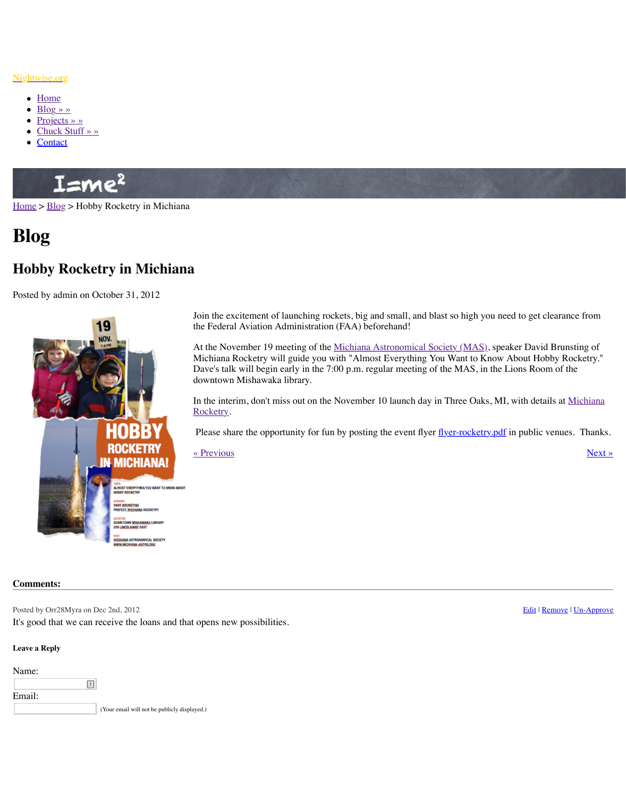

Join the exclusifient of launching rockets,  $\log a$ the Federal Aviation Administration (FAA) be

At the November 19 meeting of the Michiana Michiana Rocketry will guide you with "Almo Dave's talk will begin early in the 7:00 p.m. regular meeting of the Mass. downtown Mishawaka library.

In the interim, don't miss out on the November Rocketry.

Please share the opportunity for fun by posting Please

« Previous »

## **Comments:**

Posted by Orr28Myra on Dec 2nd, 2012

It's good that we can receive the loans and that opens new possibilities.

## **Leave a Reply**

| Name:  |   |                                              |
|--------|---|----------------------------------------------|
|        | 固 |                                              |
| Email: |   |                                              |
|        |   | (Your email will not be publicly displayed.) |